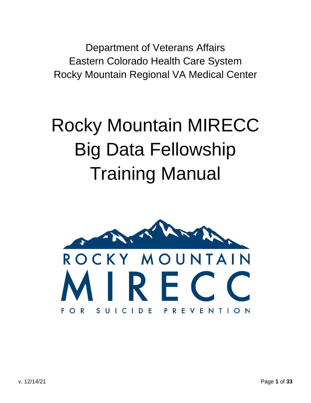Department of Veterans Affairs Eastern Colorado Health Care System Rocky Mountain Regional VA Medical Center

# Rocky Mountain MIRECC Big Data Fellowship Training Manual

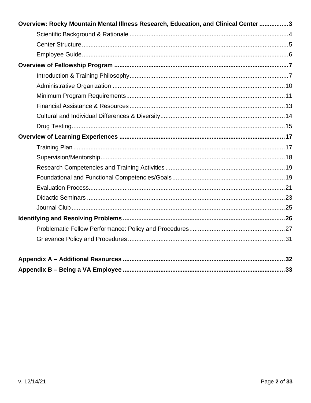| Overview: Rocky Mountain Mental Illness Research, Education, and Clinical Center 3 |  |
|------------------------------------------------------------------------------------|--|
|                                                                                    |  |
|                                                                                    |  |
|                                                                                    |  |
|                                                                                    |  |
|                                                                                    |  |
|                                                                                    |  |
|                                                                                    |  |
|                                                                                    |  |
|                                                                                    |  |
|                                                                                    |  |
|                                                                                    |  |
|                                                                                    |  |
|                                                                                    |  |
|                                                                                    |  |
|                                                                                    |  |
|                                                                                    |  |
|                                                                                    |  |
|                                                                                    |  |
|                                                                                    |  |
|                                                                                    |  |
|                                                                                    |  |
|                                                                                    |  |
|                                                                                    |  |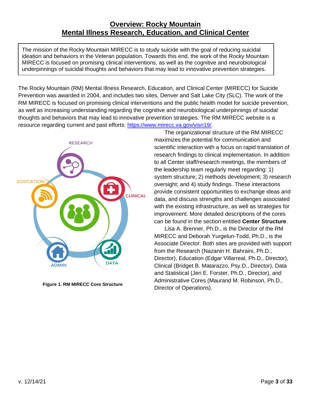# **Overview: Rocky Mountain Mental Illness Research, Education, and Clinical Center**

<span id="page-2-0"></span>The mission of the Rocky Mountain MIRECC is to study suicide with the goal of reducing suicidal ideation and behaviors in the Veteran population. Towards this end, the work of the Rocky Mountain MIRECC is focused on promising clinical interventions, as well as the cognitive and neurobiological underpinnings of suicidal thoughts and behaviors that may lead to innovative prevention strategies.

The Rocky Mountain (RM) Mental Illness Research, Education, and Clinical Center (MIRECC) for Suicide Prevention was awarded in 2004, and includes two sites, Denver and Salt Lake City (SLC). The work of the RM MIRECC is focused on promising clinical interventions and the public health model for suicide prevention, as well as increasing understanding regarding the cognitive and neurobiological underpinnings of suicidal thoughts and behaviors that may lead to innovative prevention strategies. The RM MIRECC website is a resource regarding current and past efforts: [https://www.mirecc.va.gov/visn19/.](https://www.mirecc.va.gov/visn19/)



**Figure 1. RM MIRECC Core Structure**

The organizational structure of the RM MIRECC maximizes the potential for communication and scientific interaction with a focus on rapid translation of research findings to clinical implementation. In addition to all Center staff/research meetings, the members of the leadership team regularly meet regarding: 1) system structure; 2) methods development; 3) research oversight; and 4) study findings. These interactions provide consistent opportunities to exchange ideas and data, and discuss strengths and challenges associated with the existing infrastructure, as well as strategies for improvement. More detailed descriptions of the cores can be found in the section entitled **Center Structure**.

Lisa A. Brenner, Ph.D., is the Director of the RM MIRECC and Deborah Yurgelun-Todd, Ph.D., is the Associate Director. Both sites are provided with support from the Research (Nazanin H. Bahraini, Ph.D., Director), Education (Edgar Villarreal, Ph.D., Director), Clinical (Bridget B. Matarazzo, Psy.D., Director), Data and Statistical (Jeri E. Forster, Ph.D., Director), and Administrative Cores (Maurand M. Robinson, Ph.D., Director of Operations).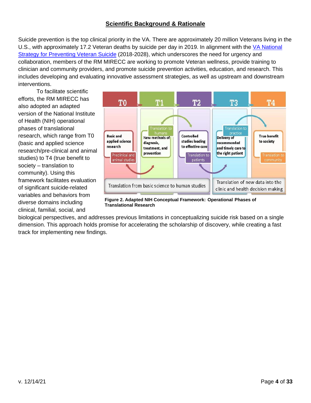# **Scientific Background & Rationale**

<span id="page-3-0"></span>Suicide prevention is the top clinical priority in the VA. There are approximately 20 million Veterans living in the U.S., with approximately 17.2 Veteran deaths by suicide per day in 2019. In alignment with the [VA National](https://www.mentalhealth.va.gov/suicide_prevention/docs/Office-of-Mental-Health-and-Suicide-Prevention-National-Strategy-for-Preventing-Veterans-Suicide.pdf)  [Strategy for Preventing Veteran Suicide](https://www.mentalhealth.va.gov/suicide_prevention/docs/Office-of-Mental-Health-and-Suicide-Prevention-National-Strategy-for-Preventing-Veterans-Suicide.pdf) (2018-2028), which underscores the need for urgency and collaboration, members of the RM MIRECC are working to promote Veteran wellness, provide training to clinician and community providers, and promote suicide prevention activities, education, and research. This includes developing and evaluating innovative assessment strategies, as well as upstream and downstream interventions.

To facilitate scientific efforts, the RM MIRECC has also adopted an adapted version of the National Institute of Health (NIH) operational phases of translational research, which range from T0 (basic and applied science research/pre-clinical and animal studies) to T4 (true benefit to society – translation to community). Using this framework facilitates evaluation of significant suicide-related variables and behaviors from diverse domains including clinical, familial, social, and



**Figure 2. Adapted NIH Conceptual Framework: Operational Phases of Translational Research**

biological perspectives, and addresses previous limitations in conceptualizing suicide risk based on a single dimension. This approach holds promise for accelerating the scholarship of discovery, while creating a fast track for implementing new findings.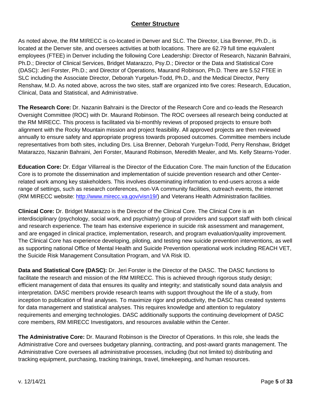# **Center Structure**

<span id="page-4-0"></span>As noted above, the RM MIRECC is co-located in Denver and SLC. The Director, Lisa Brenner, Ph.D., is located at the Denver site, and oversees activities at both locations. There are 62.79 full time equivalent employees (FTEE) in Denver including the following Core Leadership: Director of Research, Nazanin Bahraini, Ph.D.; Director of Clinical Services, Bridget Matarazzo, Psy.D.; Director or the Data and Statistical Core (DASC): Jeri Forster, Ph.D.; and Director of Operations, Maurand Robinson, Ph.D. There are 5.52 FTEE in SLC including the Associate Director, Deborah Yurgelun-Todd, Ph.D., and the Medical Director, Perry Renshaw, M.D. As noted above, across the two sites, staff are organized into five cores: Research, Education, Clinical, Data and Statistical, and Administrative.

**The Research Core:** Dr. Nazanin Bahraini is the Director of the Research Core and co-leads the Research Oversight Committee (ROC) with Dr. Maurand Robinson. The ROC oversees all research being conducted at the RM MIRECC. This process is facilitated via bi-monthly reviews of proposed projects to ensure both alignment with the Rocky Mountain mission and project feasibility. All approved projects are then reviewed annually to ensure safety and appropriate progress towards proposed outcomes. Committee members include representatives from both sites, including Drs. Lisa Brenner, Deborah Yurgelun-Todd, Perry Renshaw, Bridget Matarazzo, Nazanin Bahraini, Jeri Forster, Maurand Robinson, Meredith Mealer, and Ms. Kelly Stearns-Yoder.

**Education Core:** Dr. Edgar Villarreal is the Director of the Education Core. The main function of the Education Core is to promote the dissemination and implementation of suicide prevention research and other Centerrelated work among key stakeholders. This involves disseminating information to end-users across a wide range of settings, such as research conferences, non-VA community facilities, outreach events, the internet (RM MIRECC website: [http://www.mirecc.va.gov/visn19/\)](http://www.mirecc.va.gov/visn19/) and Veterans Health Administration facilities.

**Clinical Core:** Dr. Bridget Matarazzo is the Director of the Clinical Core. The Clinical Core is an interdisciplinary (psychology, social work, and psychiatry) group of providers and support staff with both clinical and research experience. The team has extensive experience in suicide risk assessment and management, and are engaged in clinical practice, implementation, research, and program evaluation/quality improvement. The Clinical Core has experience developing, piloting, and testing new suicide prevention interventions, as well as supporting national Office of Mental Health and Suicide Prevention operational work including REACH VET, the Suicide Risk Management Consultation Program, and VA Risk ID.

**Data and Statistical Core (DASC):** Dr. Jeri Forster is the Director of the DASC. The DASC functions to facilitate the research and mission of the RM MIRECC. This is achieved through rigorous study design; efficient management of data that ensures its quality and integrity; and statistically sound data analysis and interpretation. DASC members provide research teams with support throughout the life of a study, from inception to publication of final analyses. To maximize rigor and productivity, the DASC has created systems for data management and statistical analyses. This requires knowledge and attention to regulatory requirements and emerging technologies. DASC additionally supports the continuing development of DASC core members, RM MIRECC Investigators, and resources available within the Center.

**The Administrative Core:** Dr. Maurand Robinson is the Director of Operations. In this role, she leads the Administrative Core and oversees budgetary planning, contracting, and post-award grants management. The Administrative Core oversees all administrative processes, including (but not limited to) distributing and tracking equipment, purchasing, tracking trainings, travel, timekeeping, and human resources.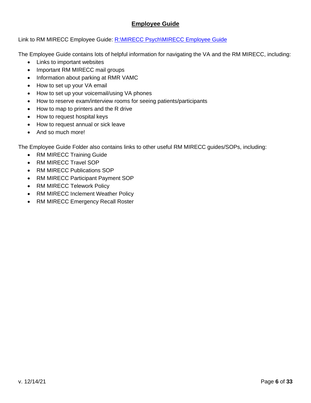# **Employee Guide**

## <span id="page-5-0"></span>Link to RM MIRECC Employee Guide: [R:\MIRECC Psych\MIRECC Employee Guide](file://///r01echhsm02.r01.med.va.gov/research_data/MIRECC%20Psych/MIRECC%20Employee%20Guide)

The Employee Guide contains lots of helpful information for navigating the VA and the RM MIRECC, including:

- Links to important websites
- Important RM MIRECC mail groups
- Information about parking at RMR VAMC
- How to set up your VA email
- How to set up your voicemail/using VA phones
- How to reserve exam/interview rooms for seeing patients/participants
- How to map to printers and the R drive
- How to request hospital keys
- How to request annual or sick leave
- And so much more!

The Employee Guide Folder also contains links to other useful RM MIRECC guides/SOPs, including:

- RM MIRECC Training Guide
- RM MIRECC Travel SOP
- RM MIRECC Publications SOP
- RM MIRECC Participant Payment SOP
- RM MIRECC Telework Policy
- RM MIRECC Inclement Weather Policy
- RM MIRECC Emergency Recall Roster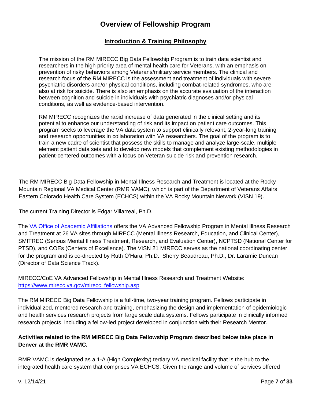# **Overview of Fellowship Program**

# **Introduction & Training Philosophy**

<span id="page-6-1"></span><span id="page-6-0"></span>The mission of the RM MIRECC Big Data Fellowship Program is to train data scientist and researchers in the high priority area of mental health care for Veterans, with an emphasis on prevention of risky behaviors among Veterans/military service members. The clinical and research focus of the RM MIRECC is the assessment and treatment of individuals with severe psychiatric disorders and/or physical conditions, including combat-related syndromes, who are also at risk for suicide. There is also an emphasis on the accurate evaluation of the interaction between cognition and suicide in individuals with psychiatric diagnoses and/or physical conditions, as well as evidence-based intervention.

RM MIRECC recognizes the rapid increase of data generated in the clinical setting and its potential to enhance our understanding of risk and its impact on patient care outcomes. This program seeks to leverage the VA data system to support clinically relevant, 2-year-long training and research opportunities in collaboration with VA researchers. The goal of the program is to train a new cadre of scientist that possess the skills to manage and analyze large-scale, multiple element patient data sets and to develop new models that complement existing methodologies in patient-centered outcomes with a focus on Veteran suicide risk and prevention research.

The RM MIRECC Big Data Fellowship in Mental Illness Research and Treatment is located at the Rocky Mountain Regional VA Medical Center (RMR VAMC), which is part of the Department of Veterans Affairs Eastern Colorado Health Care System (ECHCS) within the VA Rocky Mountain Network (VISN 19).

The current Training Director is Edgar Villarreal, Ph.D.

The [VA Office of Academic Affiliations](http://www.va.gov/oaa) offers the VA Advanced Fellowship Program in Mental Illness Research and Treatment at 26 VA sites through MIRECC (Mental Illness Research, Education, and Clinical Center), SMITREC (Serious Mental Illness Treatment, Research, and Evaluation Center), NCPTSD (National Center for PTSD), and COEs (Centers of Excellence). The VISN 21 MIRECC serves as the national coordinating center for the program and is co-directed by Ruth O'Hara, Ph.D., Sherry Beaudreau, Ph.D., Dr. Laramie Duncan (Director of Data Science Track).

MIRECC/CoE VA Advanced Fellowship in Mental Illness Research and Treatment Website: [https://www.mirecc.va.gov/mirecc\\_fellowship.asp](https://www.mirecc.va.gov/mirecc_fellowship.asp)

The RM MIRECC Big Data Fellowship is a full-time, two-year training program. Fellows participate in individualized, mentored research and training, emphasizing the design and implementation of epidemiologic and health services research projects from large scale data systems. Fellows participate in clinically informed research projects, including a fellow-led project developed in conjunction with their Research Mentor.

## **Activities related to the RM MIRECC Big Data Fellowship Program described below take place in Denver at the RMR VAMC.**

RMR VAMC is designated as a 1-A (High Complexity) tertiary VA medical facility that is the hub to the integrated health care system that comprises VA ECHCS. Given the range and volume of services offered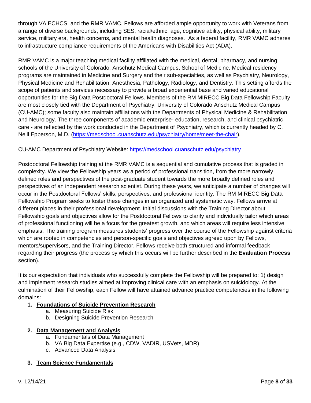through VA ECHCS, and the RMR VAMC, Fellows are afforded ample opportunity to work with Veterans from a range of diverse backgrounds, including SES, racial/ethnic, age, cognitive ability, physical ability, military service, military era, health concerns, and mental health diagnoses. As a federal facility, RMR VAMC adheres to infrastructure compliance requirements of the Americans with Disabilities Act (ADA).

RMR VAMC is a major teaching medical facility affiliated with the medical, dental, pharmacy, and nursing schools of the University of Colorado, Anschutz Medical Campus, School of Medicine. Medical residency programs are maintained in Medicine and Surgery and their sub-specialties, as well as Psychiatry, Neurology, Physical Medicine and Rehabilitation, Anesthesia, Pathology, Radiology, and Dentistry. This setting affords the scope of patients and services necessary to provide a broad experiential base and varied educational opportunities for the Big Data Postdoctoral Fellows. Members of the RM MIRECC Big Data Fellowship Faculty are most closely tied with the Department of Psychiatry, University of Colorado Anschutz Medical Campus (CU-AMC); some faculty also maintain affiliations with the Departments of Physical Medicine & Rehabilitation and Neurology. The three components of academic enterprise- education, research, and clinical psychiatric care - are reflected by the work conducted in the Department of Psychiatry, which is currently headed by C. Neill Epperson, M.D. [\(https://medschool.cuanschutz.edu/psychiatry/home/meet-the-chair\)](https://medschool.cuanschutz.edu/psychiatry/home/meet-the-chair).

## CU-AMC Department of Psychiatry Website:<https://medschool.cuanschutz.edu/psychiatry>

Postdoctoral Fellowship training at the RMR VAMC is a sequential and cumulative process that is graded in complexity. We view the Fellowship years as a period of professional transition, from the more narrowly defined roles and perspectives of the post-graduate student towards the more broadly defined roles and perspectives of an independent research scientist. During these years, we anticipate a number of changes will occur in the Postdoctoral Fellows' skills, perspectives, and professional identity. The RM MIRECC Big Data Fellowship Program seeks to foster these changes in an organized and systematic way. Fellows arrive at different places in their professional development. Initial discussions with the Training Director about Fellowship goals and objectives allow for the Postdoctoral Fellows to clarify and individually tailor which areas of professional functioning will be a focus for the greatest growth, and which areas will require less intensive emphasis. The training program measures students' progress over the course of the Fellowship against criteria which are rooted in competencies and person-specific goals and objectives agreed upon by Fellows, mentors/supervisors, and the Training Director. Fellows receive both structured and informal feedback regarding their progress (the process by which this occurs will be further described in the **Evaluation Process**  section).

It is our expectation that individuals who successfully complete the Fellowship will be prepared to: 1) design and implement research studies aimed at improving clinical care with an emphasis on suicidology. At the culmination of their Fellowship, each Fellow will have attained advance practice competencies in the following domains:

## **1. Foundations of Suicide Prevention Research**

- a. Measuring Suicide Risk
- b. Designing Suicide Prevention Research

## **2. Data Management and Analysis**

- a. Fundamentals of Data Management
- b. VA Big Data Expertise (e.g., CDW, VADIR, USVets, MDR)
- c. Advanced Data Analysis

## **3. Team Science Fundamentals**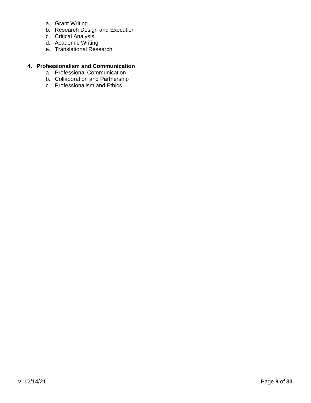- a. Grant Writing
- b. Research Design and Execution
- c. Critical Analysis
- d. Academic Writing
- e. Translational Research

#### **4. Professionalism and Communication**

- a. Professional Communication
- b. Collaboration and Partnership
- c. Professionalism and Ethics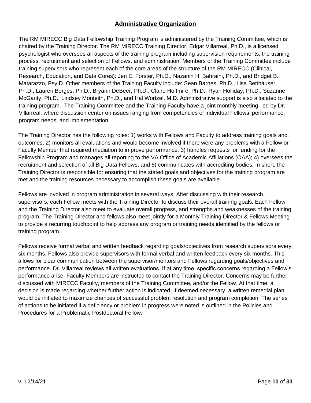# **Administrative Organization**

<span id="page-9-0"></span>The RM MIRECC Big Data Fellowship Training Program is administered by the Training Committee, which is chaired by the Training Director. The RM MIRECC Training Director, Edgar Villarreal, Ph.D., is a licensed psychologist who oversees all aspects of the training program including supervision requirements, the training process, recruitment and selection of Fellows, and administration. Members of the Training Committee include training supervisors who represent each of the core areas of the structure of the RM MIRECC (Clinical, Research, Education, and Data Cores): Jeri E. Forster, Ph.D., Nazanin H. Bahraini, Ph.D., and Bridget B. Matarazzo, Psy.D. Other members of the Training Faculty include: Sean Barnes, Ph.D., Lisa Betthauser, Ph.D., Lauren Borges, Ph.D., Bryann DeBeer, Ph.D., Claire Hoffmire, Ph.D., Ryan Holliday, Ph.D., Suzanne McGarity, Ph.D., Lindsey Monteith, Ph.D., and Hal Wortzel, M.D. Administrative support is also allocated to the training program. The Training Committee and the Training Faculty have a joint monthly meeting, led by Dr. Villarreal, where discussion center on issues ranging from competencies of individual Fellows' performance, program needs, and implementation.

The Training Director has the following roles: 1) works with Fellows and Faculty to address training goals and outcomes; 2) monitors all evaluations and would become involved if there were any problems with a Fellow or Faculty Member that required mediation to improve performance; 3) handles requests for funding for the Fellowship Program and manages all reporting to the VA Office of Academic Affiliations (OAA); 4) oversees the recruitment and selection of all Big Data Fellows, and 5) communicates with accrediting bodies. In short, the Training Director is responsible for ensuring that the stated goals and objectives for the training program are met and the training resources necessary to accomplish these goals are available.

Fellows are involved in program administration in several ways. After discussing with their research supervisors, each Fellow meets with the Training Director to discuss their overall training goals. Each Fellow and the Training Director also meet to evaluate overall progress, and strengths and weaknesses of the training program. The Training Director and fellows also meet jointly for a Monthly Training Director & Fellows Meeting to provide a recurring touchpoint to help address any program or training needs identified by the fellows or training program.

Fellows receive formal verbal and written feedback regarding goals/objectives from research supervisors every six months. Fellows also provide supervisors with formal verbal and written feedback every six months. This allows for clear communication between the supervisor/mentors and Fellows regarding goals/objectives and performance. Dr. Villarreal reviews all written evaluations. If at any time, specific concerns regarding a Fellow's performance arise, Faculty Members are instructed to contact the Training Director. Concerns may be further discussed with MIRECC Faculty, members of the Training Committee, and/or the Fellow. At that time, a decision is made regarding whether further action is indicated. If deemed necessary, a written remedial plan would be initiated to maximize chances of successful problem resolution and program completion. The series of actions to be initiated if a deficiency or problem in progress were noted is outlined in the Policies and Procedures for a Problematic Postdoctoral Fellow.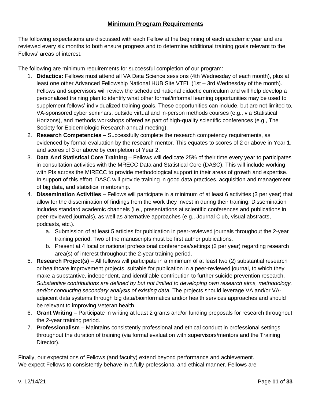# **Minimum Program Requirements**

<span id="page-10-0"></span>The following expectations are discussed with each Fellow at the beginning of each academic year and are reviewed every six months to both ensure progress and to determine additional training goals relevant to the Fellows' areas of interest.

The following are minimum requirements for successful completion of our program:

- 1. **Didactics:** Fellows must attend all VA Data Science sessions (4th Wednesday of each month), plus at least one other Advanced Fellowship National HUB Site VTEL (1st – 3rd Wednesday of the month). Fellows and supervisors will review the scheduled national didactic curriculum and will help develop a personalized training plan to identify what other formal/informal learning opportunities may be used to supplement fellows' individualized training goals. These opportunities can include, but are not limited to, VA-sponsored cyber seminars, outside virtual and in-person methods courses (e.g., via Statistical Horizons), and methods workshops offered as part of high-quality scientific conferences (e.g., The Society for Epidemiologic Research annual meeting).
- 2. **Research Competencies** Successfully complete the research competency requirements, as evidenced by formal evaluation by the research mentor. This equates to scores of 2 or above in Year 1, and scores of 3 or above by completion of Year 2.
- 3. **Data And Statistical Core Training** Fellows will dedicate 25% of their time every year to participates in consultation activities with the MRECC Data and Statistical Core (DASC). This will include working with PIs across the MIRECC to provide methodological support in their areas of growth and expertise. In support of this effort, DASC will provide training in good data practices, acquisition and management of big data, and statistical mentorship.
- 4. **Dissemination Activities** Fellows will participate in a minimum of at least 6 activities (3 per year) that allow for the dissemination of findings from the work they invest in during their training. Dissemination includes standard academic channels (i.e., presentations at scientific conferences and publications in peer-reviewed journals), as well as alternative approaches (e.g., Journal Club, visual abstracts, podcasts, etc.).
	- a. Submission of at least 5 articles for publication in peer-reviewed journals throughout the 2-year training period. Two of the manuscripts must be first author publications.
	- b. Present at 4 local or national professional conferences/settings (2 per year) regarding research area(s) of interest throughout the 2-year training period.
- 5. **Research Project(s)** All fellows will participate in a minimum of at least two (2) substantial research or healthcare improvement projects, suitable for publication in a peer-reviewed journal, to which they make a substantive, independent, and identifiable contribution to further suicide prevention research. *Substantive contributions are defined by but not limited to developing own research aims, methodology, and/or conducting secondary analysis of existing data.* The projects should leverage VA and/or VAadjacent data systems through big data/bioinformatics and/or health services approaches and should be relevant to improving Veteran health.
- 6. **Grant Writing** Participate in writing at least 2 grants and/or funding proposals for research throughout the 2-year training period.
- 7. **Professionalism** Maintains consistently professional and ethical conduct in professional settings throughout the duration of training (via formal evaluation with supervisors/mentors and the Training Director).

Finally, our expectations of Fellows (and faculty) extend beyond performance and achievement. We expect Fellows to consistently behave in a fully professional and ethical manner. Fellows are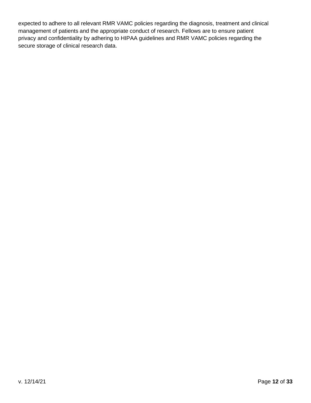expected to adhere to all relevant RMR VAMC policies regarding the diagnosis, treatment and clinical management of patients and the appropriate conduct of research. Fellows are to ensure patient privacy and confidentiality by adhering to HIPAA guidelines and RMR VAMC policies regarding the secure storage of clinical research data.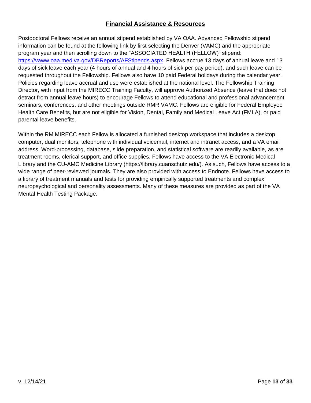# **Financial Assistance & Resources**

<span id="page-12-0"></span>Postdoctoral Fellows receive an annual stipend established by VA OAA. Advanced Fellowship stipend information can be found at the following link by first selecting the Denver (VAMC) and the appropriate program year and then scrolling down to the "ASSOCIATED HEALTH (FELLOW)" stipend: [https://vaww.oaa.med.va.gov/DBReports/AFStipends.aspx.](https://vaww.oaa.med.va.gov/DBReports/AFStipends.aspx) Fellows accrue 13 days of annual leave and 13 days of sick leave each year (4 hours of annual and 4 hours of sick per pay period), and such leave can be requested throughout the Fellowship. Fellows also have 10 paid Federal holidays during the calendar year. Policies regarding leave accrual and use were established at the national level. The Fellowship Training Director, with input from the MIRECC Training Faculty, will approve Authorized Absence (leave that does not detract from annual leave hours) to encourage Fellows to attend educational and professional advancement seminars, conferences, and other meetings outside RMR VAMC. Fellows are eligible for Federal Employee Health Care Benefits, but are not eligible for Vision, Dental, Family and Medical Leave Act (FMLA), or paid parental leave benefits.

Within the RM MIRECC each Fellow is allocated a furnished desktop workspace that includes a desktop computer, dual monitors, telephone with individual voicemail, internet and intranet access, and a VA email address. Word-processing, database, slide preparation, and statistical software are readily available, as are treatment rooms, clerical support, and office supplies. Fellows have access to the VA Electronic Medical Library and the CU-AMC Medicine Library (https://library.cuanschutz.edu/). As such, Fellows have access to a wide range of peer-reviewed journals. They are also provided with access to Endnote. Fellows have access to a library of treatment manuals and tests for providing empirically supported treatments and complex neuropsychological and personality assessments. Many of these measures are provided as part of the VA Mental Health Testing Package.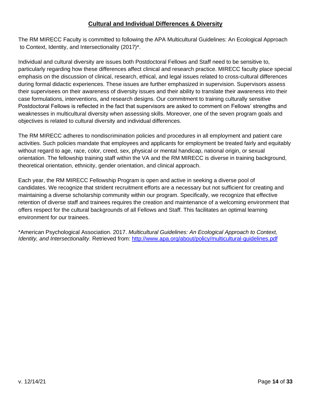# **Cultural and Individual Differences & Diversity**

<span id="page-13-0"></span>The RM MIRECC Faculty is committed to following the APA Multicultural Guidelines: An Ecological Approach to Context, Identity, and Intersectionality (2017)\*.

Individual and cultural diversity are issues both Postdoctoral Fellows and Staff need to be sensitive to, particularly regarding how these differences affect clinical and research practice. MIRECC faculty place special emphasis on the discussion of clinical, research, ethical, and legal issues related to cross-cultural differences during formal didactic experiences. These issues are further emphasized in supervision. Supervisors assess their supervisees on their awareness of diversity issues and their ability to translate their awareness into their case formulations, interventions, and research designs. Our commitment to training culturally sensitive Postdoctoral Fellows is reflected in the fact that supervisors are asked to comment on Fellows' strengths and weaknesses in multicultural diversity when assessing skills. Moreover, one of the seven program goals and objectives is related to cultural diversity and individual differences.

The RM MIRECC adheres to nondiscrimination policies and procedures in all employment and patient care activities. Such policies mandate that employees and applicants for employment be treated fairly and equitably without regard to age, race, color, creed, sex, physical or mental handicap, national origin, or sexual orientation. The fellowship training staff within the VA and the RM MIRECC is diverse in training background, theoretical orientation, ethnicity, gender orientation, and clinical approach.

Each year, the RM MIRECC Fellowship Program is open and active in seeking a diverse pool of candidates. We recognize that strident recruitment efforts are a necessary but not sufficient for creating and maintaining a diverse scholarship community within our program. Specifically, we recognize that effective retention of diverse staff and trainees requires the creation and maintenance of a welcoming environment that offers respect for the cultural backgrounds of all Fellows and Staff. This facilitates an optimal learning environment for our trainees.

\*American Psychological Association. 2017. *Multicultural Guidelines: An Ecological Approach to Context, Identity, and Intersectionality*. Retrieved from:<http://www.apa.org/about/policy/multicultural-guidelines.pdf>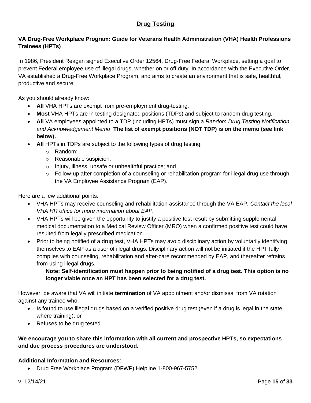# **Drug Testing**

# <span id="page-14-0"></span>**VA Drug-Free Workplace Program: Guide for Veterans Health Administration (VHA) Health Professions Trainees (HPTs)**

In 1986, President Reagan signed Executive Order 12564, Drug-Free Federal Workplace, setting a goal to prevent Federal employee use of illegal drugs, whether on or off duty. In accordance with the Executive Order, VA established a Drug-Free Workplace Program, and aims to create an environment that is safe, healthful, productive and secure.

As you should already know:

- **All** VHA HPTs are exempt from pre-employment drug-testing.
- **Most** VHA HPTs are in testing designated positions (TDPs) and subject to random drug testing.
- **All** VA employees appointed to a TDP (including HPTs) must sign a *Random Drug Testing Notification and Acknowledgement Memo*. **The list of exempt positions (NOT TDP) is on the memo (see link below).**
- All HPTs in TDPs are subject to the following types of drug testing:
	- o Random;
	- o Reasonable suspicion;
	- o Injury, illness, unsafe or unhealthful practice; and
	- o Follow-up after completion of a counseling or rehabilitation program for illegal drug use through the VA Employee Assistance Program (EAP).

Here are a few additional points:

- VHA HPTs may receive counseling and rehabilitation assistance through the VA EAP. *Contact the local VHA HR office for more information about EAP.*
- VHA HPTs will be given the opportunity to justify a positive test result by submitting supplemental medical documentation to a Medical Review Officer (MRO) when a confirmed positive test could have resulted from legally prescribed medication.
- Prior to being notified of a drug test, VHA HPTs may avoid disciplinary action by voluntarily identifying themselves to EAP as a user of illegal drugs. Disciplinary action will not be initiated if the HPT fully complies with counseling, rehabilitation and after-care recommended by EAP, and thereafter refrains from using illegal drugs.

**Note: Self-identification must happen prior to being notified of a drug test. This option is no longer viable once an HPT has been selected for a drug test.** 

However, be aware that VA will initiate **termination** of VA appointment and/or dismissal from VA rotation against any trainee who:

- Is found to use illegal drugs based on a verified positive drug test (even if a drug is legal in the state where training); or
- Refuses to be drug tested.

## **We encourage you to share this information with all current and prospective HPTs, so expectations and due process procedures are understood.**

## **Additional Information and Resources**:

• Drug Free Workplace Program (DFWP) Helpline 1-800-967-5752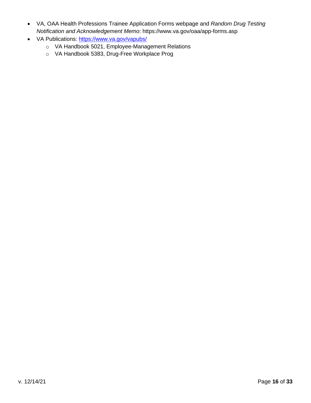- VA, OAA Health Professions Trainee Application Forms webpage and *Random Drug Testing Notification and Acknowledgement Memo*: https://www.va.gov/oaa/app-forms.asp
- VA Publications:<https://www.va.gov/vapubs/>
	- o VA Handbook 5021, Employee-Management Relations
	- o VA Handbook 5383, Drug-Free Workplace Prog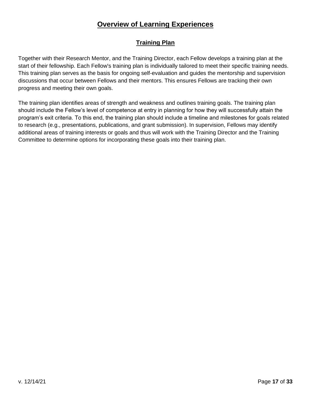# **Overview of Learning Experiences**

# **Training Plan**

<span id="page-16-1"></span><span id="page-16-0"></span>Together with their Research Mentor, and the Training Director, each Fellow develops a training plan at the start of their fellowship. Each Fellow's training plan is individually tailored to meet their specific training needs. This training plan serves as the basis for ongoing self-evaluation and guides the mentorship and supervision discussions that occur between Fellows and their mentors. This ensures Fellows are tracking their own progress and meeting their own goals.

The training plan identifies areas of strength and weakness and outlines training goals. The training plan should include the Fellow's level of competence at entry in planning for how they will successfully attain the program's exit criteria. To this end, the training plan should include a timeline and milestones for goals related to research (e.g., presentations, publications, and grant submission). In supervision, Fellows may identify additional areas of training interests or goals and thus will work with the Training Director and the Training Committee to determine options for incorporating these goals into their training plan.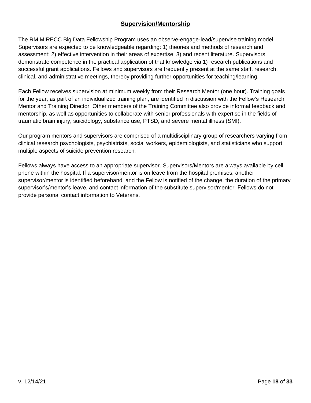# **Supervision/Mentorship**

<span id="page-17-0"></span>The RM MIRECC Big Data Fellowship Program uses an observe-engage-lead/supervise training model. Supervisors are expected to be knowledgeable regarding: 1) theories and methods of research and assessment; 2) effective intervention in their areas of expertise; 3) and recent literature. Supervisors demonstrate competence in the practical application of that knowledge via 1) research publications and successful grant applications. Fellows and supervisors are frequently present at the same staff, research, clinical, and administrative meetings, thereby providing further opportunities for teaching/learning.

Each Fellow receives supervision at minimum weekly from their Research Mentor (one hour). Training goals for the year, as part of an individualized training plan, are identified in discussion with the Fellow's Research Mentor and Training Director. Other members of the Training Committee also provide informal feedback and mentorship, as well as opportunities to collaborate with senior professionals with expertise in the fields of traumatic brain injury, suicidology, substance use, PTSD, and severe mental illness (SMI).

Our program mentors and supervisors are comprised of a multidisciplinary group of researchers varying from clinical research psychologists, psychiatrists, social workers, epidemiologists, and statisticians who support multiple aspects of suicide prevention research.

Fellows always have access to an appropriate supervisor. Supervisors/Mentors are always available by cell phone within the hospital. If a supervisor/mentor is on leave from the hospital premises, another supervisor/mentor is identified beforehand, and the Fellow is notified of the change, the duration of the primary supervisor's/mentor's leave, and contact information of the substitute supervisor/mentor. Fellows do not provide personal contact information to Veterans.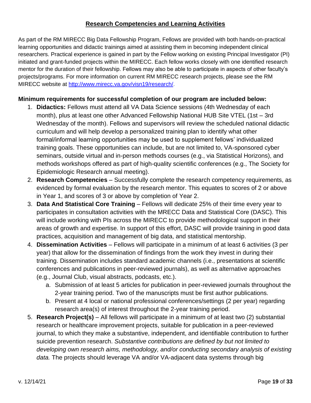# **Research Competencies and Learning Activities**

<span id="page-18-0"></span>As part of the RM MIRECC Big Data Fellowship Program, Fellows are provided with both hands-on-practical learning opportunities and didactic trainings aimed at assisting them in becoming independent clinical researchers. Practical experience is gained in part by the Fellow working on existing Principal Investigator (PI) initiated and grant-funded projects within the MIRECC. Each fellow works closely with one identified research mentor for the duration of their fellowship. Fellows may also be able to participate in aspects of other faculty's projects/programs. For more information on current RM MIRECC research projects, please see the RM MIRECC website at [http://www.mirecc.va.gov/visn19/research/.](http://www.mirecc.va.gov/visn19/research/)

## <span id="page-18-1"></span>**Minimum requirements for successful completion of our program are included below:**

- 1. **Didactics:** Fellows must attend all VA Data Science sessions (4th Wednesday of each month), plus at least one other Advanced Fellowship National HUB Site VTEL (1st – 3rd Wednesday of the month). Fellows and supervisors will review the scheduled national didactic curriculum and will help develop a personalized training plan to identify what other formal/informal learning opportunities may be used to supplement fellows' individualized training goals. These opportunities can include, but are not limited to, VA-sponsored cyber seminars, outside virtual and in-person methods courses (e.g., via Statistical Horizons), and methods workshops offered as part of high-quality scientific conferences (e.g., The Society for Epidemiologic Research annual meeting).
- 2. **Research Competencies** Successfully complete the research competency requirements, as evidenced by formal evaluation by the research mentor. This equates to scores of 2 or above in Year 1, and scores of 3 or above by completion of Year 2.
- 3. **Data And Statistical Core Training** Fellows will dedicate 25% of their time every year to participates in consultation activities with the MRECC Data and Statistical Core (DASC). This will include working with PIs across the MIRECC to provide methodological support in their areas of growth and expertise. In support of this effort, DASC will provide training in good data practices, acquisition and management of big data, and statistical mentorship.
- 4. **Dissemination Activities** Fellows will participate in a minimum of at least 6 activities (3 per year) that allow for the dissemination of findings from the work they invest in during their training. Dissemination includes standard academic channels (i.e., presentations at scientific conferences and publications in peer-reviewed journals), as well as alternative approaches (e.g., Journal Club, visual abstracts, podcasts, etc.).
	- a. Submission of at least 5 articles for publication in peer-reviewed journals throughout the 2-year training period. Two of the manuscripts must be first author publications.
	- b. Present at 4 local or national professional conferences/settings (2 per year) regarding research area(s) of interest throughout the 2-year training period.
- 5. **Research Project(s)** All fellows will participate in a minimum of at least two (2) substantial research or healthcare improvement projects, suitable for publication in a peer-reviewed journal, to which they make a substantive, independent, and identifiable contribution to further suicide prevention research. *Substantive contributions are defined by but not limited to developing own research aims, methodology, and/or conducting secondary analysis of existing data.* The projects should leverage VA and/or VA-adjacent data systems through big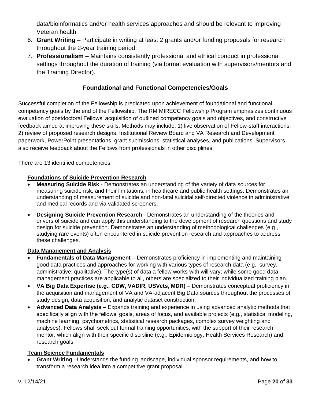data/bioinformatics and/or health services approaches and should be relevant to improving Veteran health.

- 6. **Grant Writing** Participate in writing at least 2 grants and/or funding proposals for research throughout the 2-year training period.
- 7. **Professionalism** Maintains consistently professional and ethical conduct in professional settings throughout the duration of training (via formal evaluation with supervisors/mentors and the Training Director).

# **Foundational and Functional Competencies/Goals**

Successful completion of the Fellowship is predicated upon achievement of foundational and functional competency goals by the end of the Fellowship. The RM MIRECC Fellowship Program emphasizes continuous evaluation of postdoctoral Fellows' acquisition of outlined competency goals and objectives, and constructive feedback aimed at improving these skills. Methods may include: 1) live observation of Fellow-staff interactions; 2) review of proposed research designs, Institutional Review Board and VA Research and Development paperwork, PowerPoint presentations, grant submissions, statistical analyses, and publications. Supervisors also receive feedback about the Fellows from professionals in other disciplines.

There are 13 identified competencies:

# **Foundations of Suicide Prevention Research**

- **Measuring Suicide Risk** Demonstrates an understanding of the variety of data sources for measuring suicide risk, and their limitations, in healthcare and public health settings. Demonstrates an understanding of measurement of suicide and non-fatal suicidal self-directed violence in administrative and medical records and via validated screeners.
- **Designing Suicide Prevention Research** Demonstrates an understanding of the theories and drivers of suicide and can apply this understanding to the development of research questions and study design for suicide prevention. Demonstrates an understanding of methodological challenges (e.g., studying rare events) often encountered in suicide prevention research and approaches to address these challenges.

## **Data Management and Analysis**

- **Fundamentals of Data Management** Demonstrates proficiency in implementing and maintaining good data practices and approaches for working with various types of research data (e.g., survey, administrative; qualitative). The type(s) of data a fellow works with will vary; while some good data management practices are applicable to all, others are specialized to their individualized training plan.
- **VA Big Data Expertise (e.g., CDW, VADIR, USVets, MDR)** Demonstrates conceptual proficiency in the acquisition and management of VA and VA-adjacent Big Data sources throughout the processes of study design, data acquisition, and analytic dataset construction.
- **Advanced Data Analysis**  Expands training and experience in using advanced analytic methods that specifically align with the fellows' goals, areas of focus, and available projects (e.g., statistical modeling, machine learning, psychometrics, statistical research packages, complex survey weighting and analyses). Fellows shall seek out formal training opportunities, with the support of their research mentor, which align with their specific discipline (e.g., Epidemiology, Health Services Research) and research goals.

## **Team Science Fundamentals**

• **Grant Writing** –Understands the funding landscape, individual sponsor requirements, and how to transform a research idea into a competitive grant proposal.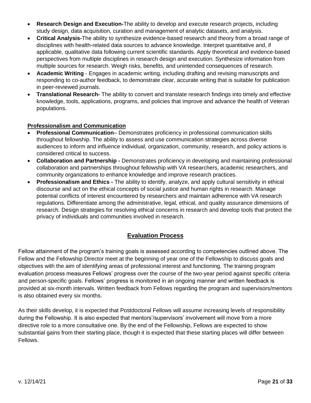- **Research Design and Execution-**The ability to develop and execute research projects, including study design, data acquisition, curation and management of analytic datasets, and analysis.
- **Critical Analysis-**The ability to synthesize evidence-based research and theory from a broad range of disciplines with health-related data sources to advance knowledge. Interpret quantitative and, if applicable, qualitative data following current scientific standards. Apply theoretical and evidence-based perspectives from multiple disciplines in research design and execution. Synthesize information from multiple sources for research. Weigh risks, benefits, and unintended consequences of research.
- **Academic Writing** Engages in academic writing, including drafting and revising manuscripts and responding to co-author feedback, to demonstrate clear, accurate writing that is suitable for publication in peer-reviewed journals.
- **Translational Research-** The ability to convert and translate research findings into timely and effective knowledge, tools, applications, programs, and policies that improve and advance the health of Veteran populations.

## **Professionalism and Communication**

- **Professional Communication** Demonstrates proficiency in professional communication skills throughout fellowship. The ability to assess and use communication strategies across diverse audiences to inform and influence individual, organization, community, research, and policy actions is considered critical to success.
- **Collaboration and Partnership -** Demonstrates proficiency in developing and maintaining professional collaboration and partnerships throughout fellowship with VA researchers, academic researchers, and community organizations to enhance knowledge and improve research practices.
- **Professionalism and Ethics -** The ability to identify, analyze, and apply cultural sensitivity in ethical discourse and act on the ethical concepts of social justice and human rights in research. Manage potential conflicts of interest encountered by researchers and maintain adherence with VA research regulations. Differentiate among the administrative, legal, ethical, and quality assurance dimensions of research. Design strategies for resolving ethical concerns in research and develop tools that protect the privacy of individuals and communities involved in research.

# **Evaluation Process**

<span id="page-20-0"></span>Fellow attainment of the program's training goals is assessed according to competencies outlined above. The Fellow and the Fellowship Director meet at the beginning of year one of the Fellowship to discuss goals and objectives with the aim of identifying areas of professional interest and functioning. The training program evaluation process measures Fellows' progress over the course of the two-year period against specific criteria and person-specific goals. Fellows' progress is monitored in an ongoing manner and written feedback is provided at six-month intervals. Written feedback from Fellows regarding the program and supervisors/mentors is also obtained every six months.

As their skills develop, it is expected that Postdoctoral Fellows will assume increasing levels of responsibility during the Fellowship. It is also expected that mentors'/supervisors' involvement will move from a more directive role to a more consultative one. By the end of the Fellowship, Fellows are expected to show substantial gains from their starting place, though it is expected that these starting places will differ between Fellows.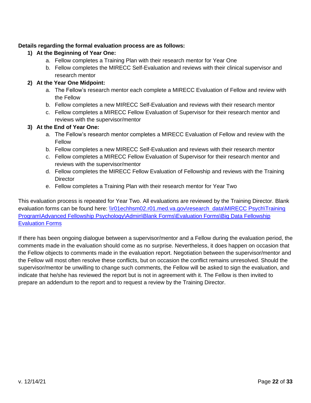## **Details regarding the formal evaluation process are as follows:**

- **1) At the Beginning of Year One:**
	- a. Fellow completes a Training Plan with their research mentor for Year One
	- b. Fellow completes the MIRECC Self-Evaluation and reviews with their clinical supervisor and research mentor

## **2) At the Year One Midpoint:**

- a. The Fellow's research mentor each complete a MIRECC Evaluation of Fellow and review with the Fellow
- b. Fellow completes a new MIRECC Self-Evaluation and reviews with their research mentor
- c. Fellow completes a MIRECC Fellow Evaluation of Supervisor for their research mentor and reviews with the supervisor/mentor

## **3) At the End of Year One:**

- a. The Fellow's research mentor completes a MIRECC Evaluation of Fellow and review with the Fellow
- b. Fellow completes a new MIRECC Self-Evaluation and reviews with their research mentor
- c. Fellow completes a MIRECC Fellow Evaluation of Supervisor for their research mentor and reviews with the supervisor/mentor
- d. Fellow completes the MIRECC Fellow Evaluation of Fellowship and reviews with the Training **Director**
- e. Fellow completes a Training Plan with their research mentor for Year Two

This evaluation process is repeated for Year Two. All evaluations are reviewed by the Training Director. Blank evaluation forms can be found here: \\r01echhsm02.r01.med.va.gov\research\_data\MIRECC Psych\Training [Program\Advanced Fellowship Psychology\Admin\Blank Forms\Evaluation Forms\Big Data Fellowship](file://///r01echhsm02.r01.med.va.gov/research_data/MIRECC%20Psych/Training%20Program/Advanced%20Fellowship%20Psychology/Admin/Blank%20Forms/Evaluation%20Forms/Big%20Data%20Fellowship%20Evaluation%20Forms)  [Evaluation Forms](file://///r01echhsm02.r01.med.va.gov/research_data/MIRECC%20Psych/Training%20Program/Advanced%20Fellowship%20Psychology/Admin/Blank%20Forms/Evaluation%20Forms/Big%20Data%20Fellowship%20Evaluation%20Forms)

If there has been ongoing dialogue between a supervisor/mentor and a Fellow during the evaluation period, the comments made in the evaluation should come as no surprise. Nevertheless, it does happen on occasion that the Fellow objects to comments made in the evaluation report. Negotiation between the supervisor/mentor and the Fellow will most often resolve these conflicts, but on occasion the conflict remains unresolved. Should the supervisor/mentor be unwilling to change such comments, the Fellow will be asked to sign the evaluation, and indicate that he/she has reviewed the report but is not in agreement with it. The Fellow is then invited to prepare an addendum to the report and to request a review by the Training Director.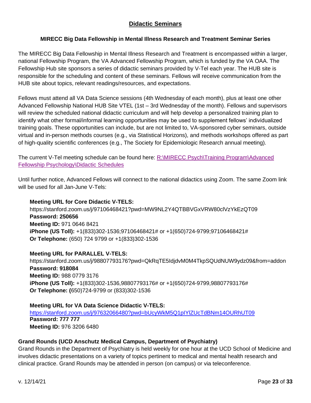# **Didactic Seminars**

# <span id="page-22-0"></span>**MIRECC Big Data Fellowship in Mental Illness Research and Treatment Seminar Series**

The MIRECC Big Data Fellowship in Mental Illness Research and Treatment is encompassed within a larger, national Fellowship Program, the VA Advanced Fellowship Program, which is funded by the VA OAA. The Fellowship Hub site sponsors a series of didactic seminars provided by V-Tel each year. The HUB site is responsible for the scheduling and content of these seminars. Fellows will receive communication from the HUB site about topics, relevant readings/resources, and expectations.

Fellows must attend all VA Data Science sessions (4th Wednesday of each month), plus at least one other Advanced Fellowship National HUB Site VTEL (1st – 3rd Wednesday of the month). Fellows and supervisors will review the scheduled national didactic curriculum and will help develop a personalized training plan to identify what other formal/informal learning opportunities may be used to supplement fellows' individualized training goals. These opportunities can include, but are not limited to, VA-sponsored cyber seminars, outside virtual and in-person methods courses (e.g., via Statistical Horizons), and methods workshops offered as part of high-quality scientific conferences (e.g., The Society for Epidemiologic Research annual meeting).

The current V-Tel meeting schedule can be found here: [R:\MIRECC Psych\Training Program\Advanced](file://///r01echhsm02.r01.med.va.gov/research_data/MIRECC%20Psych/Training%20Program/Advanced%20Fellowship%20Psychology/Didactic%20Schedules)  [Fellowship Psychology\Didactic Schedules](file://///r01echhsm02.r01.med.va.gov/research_data/MIRECC%20Psych/Training%20Program/Advanced%20Fellowship%20Psychology/Didactic%20Schedules)

Until further notice, Advanced Fellows will connect to the national didactics using Zoom. The same Zoom link will be used for all Jan-June V-Tels:

## **Meeting URL for Core Didactic V-TELS:**

https://stanford.zoom.us/j/97106468421?pwd=MW9NL2Y4QTBBVGxVRW80clVzYkEzQT09 **Password: 250656 Meeting ID:** 971 0646 8421 **iPhone (US Toll):** +1(833)302-1536;97106468421# or +1(650)724-9799;97106468421# **Or Telephone:** (650) 724 9799 or +1(833)302-1536

## **Meeting URL for PARALLEL V-TELS:**

https://stanford.zoom.us/j/98807793176?pwd=QkRqTE5IdjdvM0M4TkpSQUdNUW9ydz09&from=addon **Password: 918084 Meeting ID:** 988 0779 3176 **iPhone (US Toll):** +1(833)302-1536,98807793176# or +1(650)724-9799,98807793176# **Or Telephone: (**650)724-9799 or (833)302-1536

## **Meeting URL for VA Data Science Didactic V-TELS:**

<https://stanford.zoom.us/j/97632066480?pwd=bUcyWkM5Q1pIYlZUcTdBNm14OURhUT09> **Password: 777 777 Meeting ID:** 976 3206 6480

## **Grand Rounds (UCD Anschutz Medical Campus, Department of Psychiatry)**

Grand Rounds in the Department of Psychiatry is held weekly for one hour at the UCD School of Medicine and involves didactic presentations on a variety of topics pertinent to medical and mental health research and clinical practice. Grand Rounds may be attended in person (on campus) or via teleconference.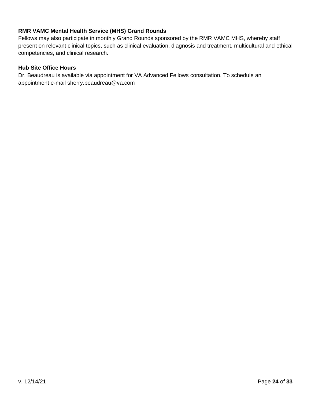## **RMR VAMC Mental Health Service (MHS) Grand Rounds**

Fellows may also participate in monthly Grand Rounds sponsored by the RMR VAMC MHS, whereby staff present on relevant clinical topics, such as clinical evaluation, diagnosis and treatment, multicultural and ethical competencies, and clinical research.

#### **Hub Site Office Hours**

Dr. Beaudreau is available via appointment for VA Advanced Fellows consultation. To schedule an appointment e-mail sherry.beaudreau@va.com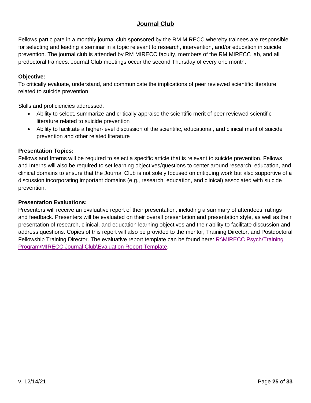# **Journal Club**

<span id="page-24-0"></span>Fellows participate in a monthly journal club sponsored by the RM MIRECC whereby trainees are responsible for selecting and leading a seminar in a topic relevant to research, intervention, and/or education in suicide prevention. The journal club is attended by RM MIRECC faculty, members of the RM MIRECC lab, and all predoctoral trainees. Journal Club meetings occur the second Thursday of every one month.

## **Objective:**

To critically evaluate, understand, and communicate the implications of peer reviewed scientific literature related to suicide prevention

Skills and proficiencies addressed:

- Ability to select, summarize and critically appraise the scientific merit of peer reviewed scientific literature related to suicide prevention
- Ability to facilitate a higher-level discussion of the scientific, educational, and clinical merit of suicide prevention and other related literature

## **Presentation Topics:**

Fellows and Interns will be required to select a specific article that is relevant to suicide prevention. Fellows and Interns will also be required to set learning objectives/questions to center around research, education, and clinical domains to ensure that the Journal Club is not solely focused on critiquing work but also supportive of a discussion incorporating important domains (e.g., research, education, and clinical) associated with suicide prevention.

## **Presentation Evaluations:**

Presenters will receive an evaluative report of their presentation, including a summary of attendees' ratings and feedback. Presenters will be evaluated on their overall presentation and presentation style, as well as their presentation of research, clinical, and education learning objectives and their ability to facilitate discussion and address questions. Copies of this report will also be provided to the mentor, Training Director, and Postdoctoral Fellowship Training Director. The evaluative report template can be found here: R:\MIRECC Psych\Training [Program\MIRECC Journal Club\Evaluation Report Template.](file://///r01echhsm02.r01.med.va.gov/research_data/MIRECC%20Psych/Training%20Program/MIRECC%20Journal%20Club/Evaluation%20Report%20Template)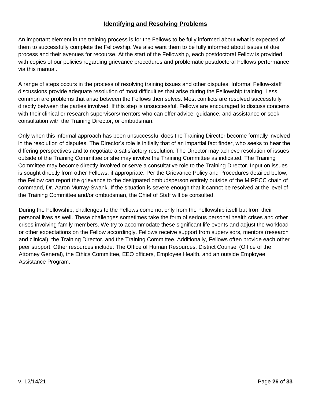## **Identifying and Resolving Problems**

<span id="page-25-0"></span>An important element in the training process is for the Fellows to be fully informed about what is expected of them to successfully complete the Fellowship. We also want them to be fully informed about issues of due process and their avenues for recourse. At the start of the Fellowship, each postdoctoral Fellow is provided with copies of our policies regarding grievance procedures and problematic postdoctoral Fellows performance via this manual.

A range of steps occurs in the process of resolving training issues and other disputes. Informal Fellow-staff discussions provide adequate resolution of most difficulties that arise during the Fellowship training. Less common are problems that arise between the Fellows themselves. Most conflicts are resolved successfully directly between the parties involved. If this step is unsuccessful, Fellows are encouraged to discuss concerns with their clinical or research supervisors/mentors who can offer advice, guidance, and assistance or seek consultation with the Training Director, or ombudsman.

Only when this informal approach has been unsuccessful does the Training Director become formally involved in the resolution of disputes. The Director's role is initially that of an impartial fact finder, who seeks to hear the differing perspectives and to negotiate a satisfactory resolution. The Director may achieve resolution of issues outside of the Training Committee or she may involve the Training Committee as indicated. The Training Committee may become directly involved or serve a consultative role to the Training Director. Input on issues is sought directly from other Fellows, if appropriate. Per the Grievance Policy and Procedures detailed below, the Fellow can report the grievance to the designated ombudsperson entirely outside of the MIRECC chain of command, Dr. Aaron Murray-Swank. If the situation is severe enough that it cannot be resolved at the level of the Training Committee and/or ombudsman, the Chief of Staff will be consulted.

During the Fellowship, challenges to the Fellows come not only from the Fellowship itself but from their personal lives as well. These challenges sometimes take the form of serious personal health crises and other crises involving family members. We try to accommodate these significant life events and adjust the workload or other expectations on the Fellow accordingly. Fellows receive support from supervisors, mentors (research and clinical), the Training Director, and the Training Committee. Additionally, Fellows often provide each other peer support. Other resources include: The Office of Human Resources, District Counsel (Office of the Attorney General), the Ethics Committee, EEO officers, Employee Health, and an outside Employee Assistance Program.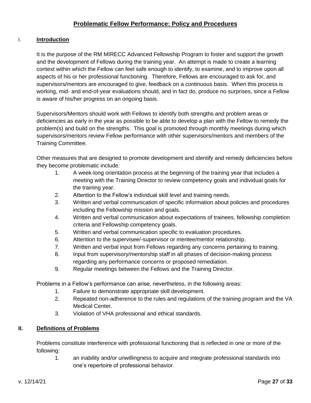# **Problematic Fellow Performance: Policy and Procedures**

## <span id="page-26-0"></span>I. **Introduction**

It is the purpose of the RM MIRECC Advanced Fellowship Program to foster and support the growth and the development of Fellows during the training year. An attempt is made to create a learning context within which the Fellow can feel safe enough to identify, to examine, and to improve upon all aspects of his or her professional functioning. Therefore, Fellows are encouraged to ask for, and supervisors/mentors are encouraged to give, feedback on a continuous basis. When this process is working, mid- and end-of-year evaluations should, and in fact do, produce no surprises, since a Fellow is aware of his/her progress on an ongoing basis.

Supervisors/Mentors should work with Fellows to identify both strengths and problem areas or deficiencies as early in the year as possible to be able to develop a plan with the Fellow to remedy the problem(s) and build on the strengths. This goal is promoted through monthly meetings during which supervisors/mentors review Fellow performance with other supervisors/mentors and members of the Training Committee.

Other measures that are designed to promote development and identify and remedy deficiencies before they become problematic include:

- 1. A week-long orientation process at the beginning of the training year that includes a meeting with the Training Director to review competency goals and individual goals for the training year.
- 2. Attention to the Fellow's individual skill level and training needs.
- 3. Written and verbal communication of specific information about policies and procedures including the Fellowship mission and goals.
- 4. Written and verbal communication about expectations of trainees, fellowship completion criteria and Fellowship competency goals.
- 5. Written and verbal communication specific to evaluation procedures.
- 6. Attention to the supervisee/-supervisor or mentee/mentor relationship.
- 7. Written and verbal input from Fellows regarding any concerns pertaining to training.
- 8. Input from supervisory/mentorship staff in all phases of decision-making process regarding any performance concerns or proposed remediation.
- 9. Regular meetings between the Fellows and the Training Director.

Problems in a Fellow's performance can arise, nevertheless, in the following areas:

- 1. Failure to demonstrate appropriate skill development.
- 2. Repeated non-adherence to the rules and regulations of the training program and the VA Medical Center.
- 3. Violation of VHA professional and ethical standards.

## **II. Definitions of Problems**

Problems constitute interference with professional functioning that is reflected in one or more of the following:

1. an inability and/or unwillingness to acquire and integrate professional standards into one's repertoire of professional behavior.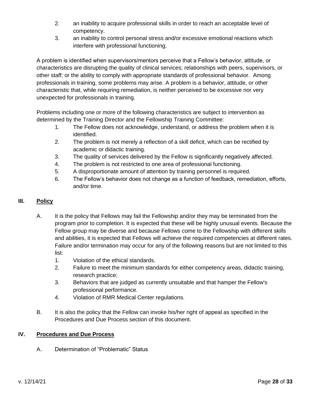- 2. an inability to acquire professional skills in order to reach an acceptable level of competency.
- 3. an inability to control personal stress and/or excessive emotional reactions which interfere with professional functioning.

A problem is identified when supervisors/mentors perceive that a Fellow's behavior, attitude, or characteristics are disrupting the quality of clinical services; relationships with peers, supervisors, or other staff; or the ability to comply with appropriate standards of professional behavior. Among professionals in training, some problems may arise. A problem is a behavior, attitude, or other characteristic that, while requiring remediation, is neither perceived to be excessive nor very unexpected for professionals in training.

Problems including one or more of the following characteristics are subject to intervention as determined by the Training Director and the Fellowship Training Committee:

- 1. The Fellow does not acknowledge, understand, or address the problem when it is identified.
- 2. The problem is not merely a reflection of a skill deficit, which can be rectified by academic or didactic training.
- 3. The quality of services delivered by the Fellow is significantly negatively affected.
- 4. The problem is not restricted to one area of professional functioning.
- 5. A disproportionate amount of attention by training personnel is required.
- 6. The Fellow's behavior does not change as a function of feedback, remediation, efforts, and/or time.

## **III. Policy**

- A. It is the policy that Fellows may fail the Fellowship and/or they may be terminated from the program prior to completion. It is expected that these will be highly unusual events. Because the Fellow group may be diverse and because Fellows come to the Fellowship with different skills and abilities, it is expected that Fellows will achieve the required competencies at different rates. Failure and/or termination may occur for any of the following reasons but are not limited to this list:
	- 1. Violation of the ethical standards.
	- 2. Failure to meet the minimum standards for either competency areas, didactic training, research practice;
	- 3. Behaviors that are judged as currently unsuitable and that hamper the Fellow's professional performance.
	- 4. Violation of RMR Medical Center regulations.
- B. It is also the policy that the Fellow can invoke his/her right of appeal as specified in the Procedures and Due Process section of this document.

## **IV. Procedures and Due Process**

A. Determination of "Problematic" Status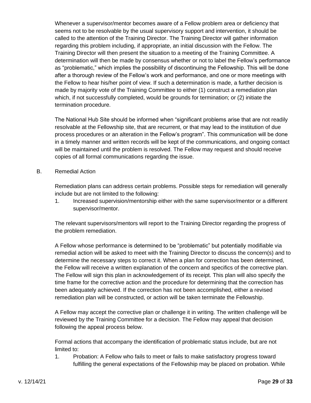Whenever a supervisor/mentor becomes aware of a Fellow problem area or deficiency that seems not to be resolvable by the usual supervisory support and intervention, it should be called to the attention of the Training Director. The Training Director will gather information regarding this problem including, if appropriate, an initial discussion with the Fellow. The Training Director will then present the situation to a meeting of the Training Committee. A determination will then be made by consensus whether or not to label the Fellow's performance as "problematic," which implies the possibility of discontinuing the Fellowship. This will be done after a thorough review of the Fellow's work and performance, and one or more meetings with the Fellow to hear his/her point of view. If such a determination is made, a further decision is made by majority vote of the Training Committee to either (1) construct a remediation plan which, if not successfully completed, would be grounds for termination; or (2) initiate the termination procedure.

The National Hub Site should be informed when "significant problems arise that are not readily resolvable at the Fellowship site, that are recurrent, or that may lead to the institution of due process procedures or an alteration in the Fellow's program". This communication will be done in a timely manner and written records will be kept of the communications, and ongoing contact will be maintained until the problem is resolved. The Fellow may request and should receive copies of all formal communications regarding the issue.

B. Remedial Action

Remediation plans can address certain problems. Possible steps for remediation will generally include but are not limited to the following:

1. Increased supervision/mentorship either with the same supervisor/mentor or a different supervisor/mentor.

The relevant supervisors/mentors will report to the Training Director regarding the progress of the problem remediation.

A Fellow whose performance is determined to be "problematic" but potentially modifiable via remedial action will be asked to meet with the Training Director to discuss the concern(s) and to determine the necessary steps to correct it. When a plan for correction has been determined, the Fellow will receive a written explanation of the concern and specifics of the corrective plan. The Fellow will sign this plan in acknowledgement of its receipt. This plan will also specify the time frame for the corrective action and the procedure for determining that the correction has been adequately achieved. If the correction has not been accomplished, either a revised remediation plan will be constructed, or action will be taken terminate the Fellowship.

A Fellow may accept the corrective plan or challenge it in writing. The written challenge will be reviewed by the Training Committee for a decision. The Fellow may appeal that decision following the appeal process below.

Formal actions that accompany the identification of problematic status include, but are not limited to:

1. Probation: A Fellow who fails to meet or fails to make satisfactory progress toward fulfilling the general expectations of the Fellowship may be placed on probation. While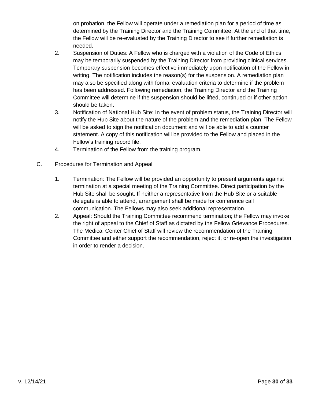on probation, the Fellow will operate under a remediation plan for a period of time as determined by the Training Director and the Training Committee. At the end of that time, the Fellow will be re-evaluated by the Training Director to see if further remediation is needed.

- 2. Suspension of Duties: A Fellow who is charged with a violation of the Code of Ethics may be temporarily suspended by the Training Director from providing clinical services. Temporary suspension becomes effective immediately upon notification of the Fellow in writing. The notification includes the reason(s) for the suspension. A remediation plan may also be specified along with formal evaluation criteria to determine if the problem has been addressed. Following remediation, the Training Director and the Training Committee will determine if the suspension should be lifted, continued or if other action should be taken.
- 3. Notification of National Hub Site: In the event of problem status, the Training Director will notify the Hub Site about the nature of the problem and the remediation plan. The Fellow will be asked to sign the notification document and will be able to add a counter statement. A copy of this notification will be provided to the Fellow and placed in the Fellow's training record file.
- 4. Termination of the Fellow from the training program.
- C. Procedures for Termination and Appeal
	- 1. Termination: The Fellow will be provided an opportunity to present arguments against termination at a special meeting of the Training Committee. Direct participation by the Hub Site shall be sought. If neither a representative from the Hub Site or a suitable delegate is able to attend, arrangement shall be made for conference call communication. The Fellows may also seek additional representation.
	- 2. Appeal: Should the Training Committee recommend termination; the Fellow may invoke the right of appeal to the Chief of Staff as dictated by the Fellow Grievance Procedures. The Medical Center Chief of Staff will review the recommendation of the Training Committee and either support the recommendation, reject it, or re-open the investigation in order to render a decision.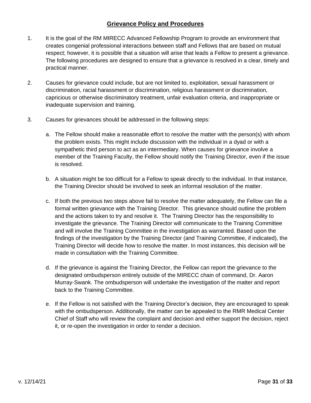## **Grievance Policy and Procedures**

- <span id="page-30-0"></span>1. It is the goal of the RM MIRECC Advanced Fellowship Program to provide an environment that creates congenial professional interactions between staff and Fellows that are based on mutual respect; however, it is possible that a situation will arise that leads a Fellow to present a grievance. The following procedures are designed to ensure that a grievance is resolved in a clear, timely and practical manner.
- 2. Causes for grievance could include, but are not limited to, exploitation, sexual harassment or discrimination, racial harassment or discrimination, religious harassment or discrimination, capricious or otherwise discriminatory treatment, unfair evaluation criteria, and inappropriate or inadequate supervision and training.
- 3. Causes for grievances should be addressed in the following steps:
	- a. The Fellow should make a reasonable effort to resolve the matter with the person(s) with whom the problem exists. This might include discussion with the individual in a dyad or with a sympathetic third person to act as an intermediary. When causes for grievance involve a member of the Training Faculty, the Fellow should notify the Training Director, even if the issue is resolved.
	- b. A situation might be too difficult for a Fellow to speak directly to the individual. In that instance, the Training Director should be involved to seek an informal resolution of the matter.
	- c. If both the previous two steps above fail to resolve the matter adequately, the Fellow can file a formal written grievance with the Training Director. This grievance should outline the problem and the actions taken to try and resolve it. The Training Director has the responsibility to investigate the grievance. The Training Director will communicate to the Training Committee and will involve the Training Committee in the investigation as warranted. Based upon the findings of the investigation by the Training Director (and Training Committee, if indicated), the Training Director will decide how to resolve the matter. In most instances, this decision will be made in consultation with the Training Committee.
	- d. If the grievance is against the Training Director, the Fellow can report the grievance to the designated ombudsperson entirely outside of the MIRECC chain of command, Dr. Aaron Murray-Swank. The ombudsperson will undertake the investigation of the matter and report back to the Training Committee.
	- e. If the Fellow is not satisfied with the Training Director's decision, they are encouraged to speak with the ombudsperson. Additionally, the matter can be appealed to the RMR Medical Center Chief of Staff who will review the complaint and decision and either support the decision, reject it, or re-open the investigation in order to render a decision.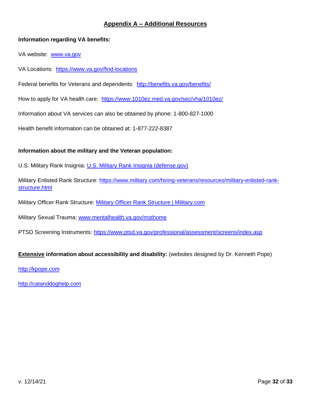## **Appendix A – Additional Resources**

## <span id="page-31-0"></span>**Information regarding VA benefits:**

VA website: [www.va.gov](http://www.va.gov/)

VA Locations: <https://www.va.gov/find-locations>

Federal benefits for Veterans and dependents: <http://benefits.va.gov/benefits/>

How to apply for VA health care: <https://www.1010ez.med.va.gov/sec/vha/1010ez/>

Information about VA services can also be obtained by phone: 1-800-827-1000

Health benefit information can be obtained at: 1-877-222-8387

## **Information about the military and the Veteran population:**

U.S. Military Rank Insignia: [U.S. Military Rank Insignia \(defense.gov\)](https://gcc02.safelinks.protection.outlook.com/?url=https%3A%2F%2Fwww.defense.gov%2FResources%2FInsignia%2F&data=04%7C01%7C%7C500a7701f4c7413beb7b08d9bf3a242f%7Ce95f1b23abaf45ee821db7ab251ab3bf%7C0%7C0%7C637751078692501037%7CUnknown%7CTWFpbGZsb3d8eyJWIjoiMC4wLjAwMDAiLCJQIjoiV2luMzIiLCJBTiI6Ik1haWwiLCJXVCI6Mn0%3D%7C3000&sdata=xUf%2BsZQyfgP%2B9hwTJI0KmReAWX83J3m7yOCzWVYrnjM%3D&reserved=0)

Military Enlisted Rank Structure: [https://www.military.com/hiring-veterans/resources/military-enlisted-rank](https://gcc02.safelinks.protection.outlook.com/?url=https%3A%2F%2Fwww.military.com%2Fhiring-veterans%2Fresources%2Fmilitary-enlisted-rank-structure.html&data=04%7C01%7C%7C500a7701f4c7413beb7b08d9bf3a242f%7Ce95f1b23abaf45ee821db7ab251ab3bf%7C0%7C0%7C637751078692501037%7CUnknown%7CTWFpbGZsb3d8eyJWIjoiMC4wLjAwMDAiLCJQIjoiV2luMzIiLCJBTiI6Ik1haWwiLCJXVCI6Mn0%3D%7C3000&sdata=1DKtqXY45ydyEBs9Q90UFm7YfCVzOvsi05XbFF8%2Bmh0%3D&reserved=0)[structure.html](https://gcc02.safelinks.protection.outlook.com/?url=https%3A%2F%2Fwww.military.com%2Fhiring-veterans%2Fresources%2Fmilitary-enlisted-rank-structure.html&data=04%7C01%7C%7C500a7701f4c7413beb7b08d9bf3a242f%7Ce95f1b23abaf45ee821db7ab251ab3bf%7C0%7C0%7C637751078692501037%7CUnknown%7CTWFpbGZsb3d8eyJWIjoiMC4wLjAwMDAiLCJQIjoiV2luMzIiLCJBTiI6Ik1haWwiLCJXVCI6Mn0%3D%7C3000&sdata=1DKtqXY45ydyEBs9Q90UFm7YfCVzOvsi05XbFF8%2Bmh0%3D&reserved=0)

Military Officer Rank Structure: [Military Officer Rank Structure | Military.com](https://gcc02.safelinks.protection.outlook.com/?url=https%3A%2F%2Fwww.military.com%2Fhiring-veterans%2Fresources%2Fmilitary-officer-rank-structure.html&data=04%7C01%7C%7C500a7701f4c7413beb7b08d9bf3a242f%7Ce95f1b23abaf45ee821db7ab251ab3bf%7C0%7C0%7C637751078692501037%7CUnknown%7CTWFpbGZsb3d8eyJWIjoiMC4wLjAwMDAiLCJQIjoiV2luMzIiLCJBTiI6Ik1haWwiLCJXVCI6Mn0%3D%7C3000&sdata=yh7FzCtteWz5nLUfVWvs8NWdvG26RubSqVRA8LUuZMg%3D&reserved=0)

Military Sexual Trauma: [www.mentalhealth.va.gov/msthome](https://gcc02.safelinks.protection.outlook.com/?url=http%3A%2F%2Fwww.mentalhealth.va.gov%2Fmsthome&data=04%7C01%7C%7Cd95056fe2bf0435607dd08d9bfe39bbc%7Ce95f1b23abaf45ee821db7ab251ab3bf%7C0%7C0%7C637751806545559510%7CUnknown%7CTWFpbGZsb3d8eyJWIjoiMC4wLjAwMDAiLCJQIjoiV2luMzIiLCJBTiI6Ik1haWwiLCJXVCI6Mn0%3D%7C3000&sdata=e4Izvz86GPK85f7ztz3Ja5J5jIhLR4nbf7csFZA2Qok%3D&reserved=0)

PTSD Screening Instruments: [https://www.ptsd.va.gov/professional/assessment/screens/index.asp](https://gcc02.safelinks.protection.outlook.com/?url=https%3A%2F%2Fwww.ptsd.va.gov%2Fprofessional%2Fassessment%2Fscreens%2Findex.asp&data=04%7C01%7C%7C8c01cd06721c4dac8ec808d9bf7d9acf%7Ce95f1b23abaf45ee821db7ab251ab3bf%7C0%7C0%7C637751368444038481%7CUnknown%7CTWFpbGZsb3d8eyJWIjoiMC4wLjAwMDAiLCJQIjoiV2luMzIiLCJBTiI6Ik1haWwiLCJXVCI6Mn0%3D%7C3000&sdata=EVCnw1tlWLL5akSAGG5FMbuBGGnmgM0Gg333RjdQiUQ%3D&reserved=0)

## **Extensive information about accessibility and disability:** (websites designed by Dr. Kenneth Pope)

[http://kpope.com](http://kpope.com/)

[http://catanddoghelp.com](http://catanddoghelp.com/)